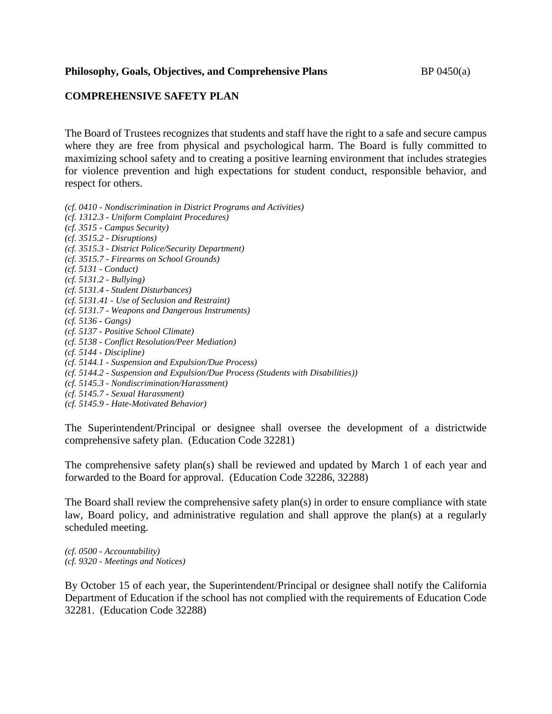### **Philosophy, Goals, Objectives, and Comprehensive Plans** BP 0450(a)

### **COMPREHENSIVE SAFETY PLAN**

The Board of Trustees recognizes that students and staff have the right to a safe and secure campus where they are free from physical and psychological harm. The Board is fully committed to maximizing school safety and to creating a positive learning environment that includes strategies for violence prevention and high expectations for student conduct, responsible behavior, and respect for others.

*(cf. 0410 - Nondiscrimination in District Programs and Activities) (cf. 1312.3 - Uniform Complaint Procedures) (cf. 3515 - Campus Security) (cf. 3515.2 - Disruptions) (cf. 3515.3 - District Police/Security Department) (cf. 3515.7 - Firearms on School Grounds) (cf. 5131 - Conduct) (cf. 5131.2 - Bullying) (cf. 5131.4 - Student Disturbances) (cf. 5131.41 - Use of Seclusion and Restraint) (cf. 5131.7 - Weapons and Dangerous Instruments) (cf. 5136 - Gangs) (cf. 5137 - Positive School Climate) (cf. 5138 - Conflict Resolution/Peer Mediation) (cf. 5144 - Discipline) (cf. 5144.1 - Suspension and Expulsion/Due Process) (cf. 5144.2 - Suspension and Expulsion/Due Process (Students with Disabilities)) (cf. 5145.3 - Nondiscrimination/Harassment) (cf. 5145.7 - Sexual Harassment) (cf. 5145.9 - Hate-Motivated Behavior)*

The Superintendent/Principal or designee shall oversee the development of a districtwide comprehensive safety plan. (Education Code 32281)

The comprehensive safety plan(s) shall be reviewed and updated by March 1 of each year and forwarded to the Board for approval. (Education Code 32286, 32288)

The Board shall review the comprehensive safety plan(s) in order to ensure compliance with state law, Board policy, and administrative regulation and shall approve the plan(s) at a regularly scheduled meeting.

*(cf. 0500 - Accountability) (cf. 9320 - Meetings and Notices)*

By October 15 of each year, the Superintendent/Principal or designee shall notify the California Department of Education if the school has not complied with the requirements of Education Code 32281. (Education Code 32288)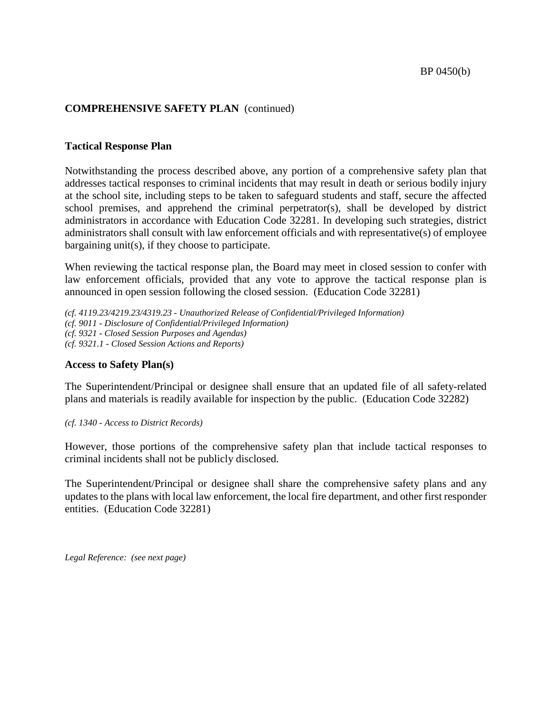### **Tactical Response Plan**

Notwithstanding the process described above, any portion of a comprehensive safety plan that addresses tactical responses to criminal incidents that may result in death or serious bodily injury at the school site, including steps to be taken to safeguard students and staff, secure the affected school premises, and apprehend the criminal perpetrator(s), shall be developed by district administrators in accordance with Education Code 32281. In developing such strategies, district administrators shall consult with law enforcement officials and with representative(s) of employee bargaining unit(s), if they choose to participate.

When reviewing the tactical response plan, the Board may meet in closed session to confer with law enforcement officials, provided that any vote to approve the tactical response plan is announced in open session following the closed session. (Education Code 32281)

*(cf. 4119.23/4219.23/4319.23 - Unauthorized Release of Confidential/Privileged Information) (cf. 9011 - Disclosure of Confidential/Privileged Information) (cf. 9321 - Closed Session Purposes and Agendas) (cf. 9321.1 - Closed Session Actions and Reports)*

#### **Access to Safety Plan(s)**

The Superintendent/Principal or designee shall ensure that an updated file of all safety-related plans and materials is readily available for inspection by the public. (Education Code 32282)

*(cf. 1340 - Access to District Records)*

However, those portions of the comprehensive safety plan that include tactical responses to criminal incidents shall not be publicly disclosed.

The Superintendent/Principal or designee shall share the comprehensive safety plans and any updates to the plans with local law enforcement, the local fire department, and other first responder entities. (Education Code 32281)

*Legal Reference: (see next page)*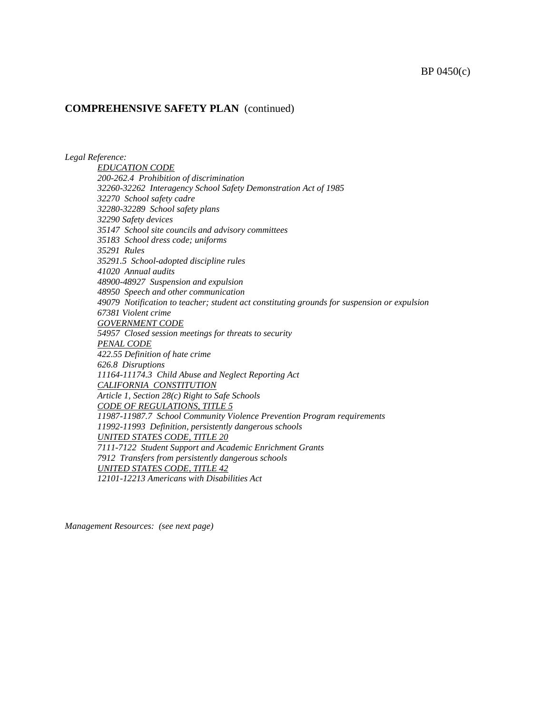*Legal Reference:*

*EDUCATION CODE 200-262.4 Prohibition of discrimination 32260-32262 Interagency School Safety Demonstration Act of 1985 32270 School safety cadre 32280-32289 School safety plans 32290 Safety devices 35147 School site councils and advisory committees 35183 School dress code; uniforms 35291 Rules 35291.5 School-adopted discipline rules 41020 Annual audits 48900-48927 Suspension and expulsion 48950 Speech and other communication 49079 Notification to teacher; student act constituting grounds for suspension or expulsion 67381 Violent crime GOVERNMENT CODE 54957 Closed session meetings for threats to security PENAL CODE 422.55 Definition of hate crime 626.8 Disruptions 11164-11174.3 Child Abuse and Neglect Reporting Act CALIFORNIA CONSTITUTION Article 1, Section 28(c) Right to Safe Schools CODE OF REGULATIONS, TITLE 5 11987-11987.7 School Community Violence Prevention Program requirements 11992-11993 Definition, persistently dangerous schools UNITED STATES CODE, TITLE 20 7111-7122 Student Support and Academic Enrichment Grants 7912 Transfers from persistently dangerous schools UNITED STATES CODE, TITLE 42 12101-12213 Americans with Disabilities Act*

*Management Resources: (see next page)*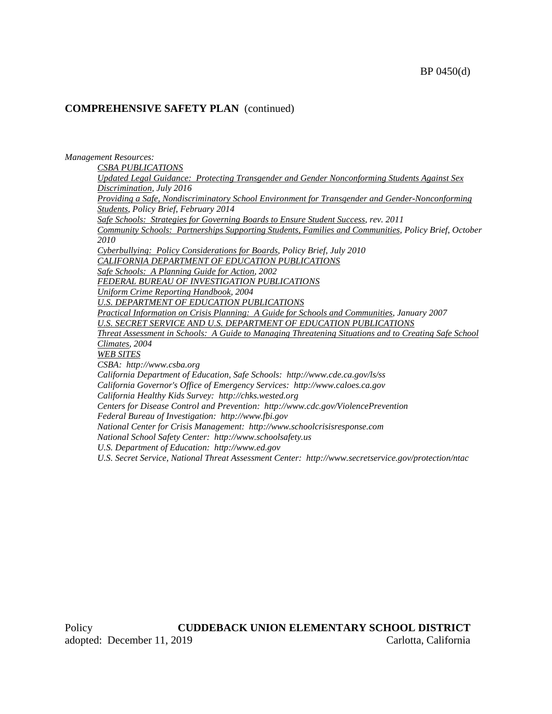*Management Resources:*

*CSBA PUBLICATIONS Updated Legal Guidance: Protecting Transgender and Gender Nonconforming Students Against Sex Discrimination, July 2016 Providing a Safe, Nondiscriminatory School Environment for Transgender and Gender-Nonconforming Students, Policy Brief, February 2014 Safe Schools: Strategies for Governing Boards to Ensure Student Success, rev. 2011 Community Schools: Partnerships Supporting Students, Families and Communities, Policy Brief, October 2010 Cyberbullying: Policy Considerations for Boards, Policy Brief, July 2010 CALIFORNIA DEPARTMENT OF EDUCATION PUBLICATIONS Safe Schools: A Planning Guide for Action, 2002 FEDERAL BUREAU OF INVESTIGATION PUBLICATIONS Uniform Crime Reporting Handbook, 2004 U.S. DEPARTMENT OF EDUCATION PUBLICATIONS Practical Information on Crisis Planning: A Guide for Schools and Communities, January 2007 U.S. SECRET SERVICE AND U.S. DEPARTMENT OF EDUCATION PUBLICATIONS Threat Assessment in Schools: A Guide to Managing Threatening Situations and to Creating Safe School Climates, 2004 WEB SITES CSBA: http://www.csba.org California Department of Education, Safe Schools: http://www.cde.ca.gov/ls/ss California Governor's Office of Emergency Services: http://www.caloes.ca.gov California Healthy Kids Survey: http://chks.wested.org Centers for Disease Control and Prevention: http://www.cdc.gov/ViolencePrevention Federal Bureau of Investigation: http://www.fbi.gov National Center for Crisis Management: http://www.schoolcrisisresponse.com National School Safety Center: http://www.schoolsafety.us U.S. Department of Education: http://www.ed.gov U.S. Secret Service, National Threat Assessment Center: http://www.secretservice.gov/protection/ntac*

Policy **CUDDEBACK UNION ELEMENTARY SCHOOL DISTRICT** adopted: December 11, 2019 Carlotta, California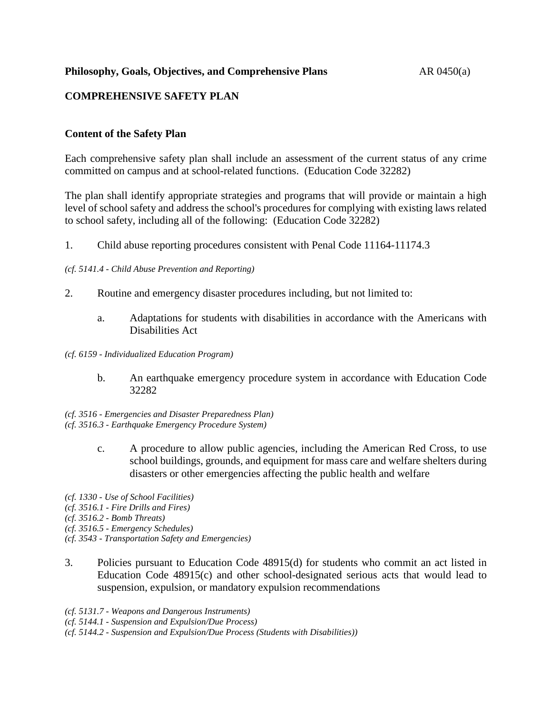## **Philosophy, Goals, Objectives, and Comprehensive Plans** AR 0450(a)

## **COMPREHENSIVE SAFETY PLAN**

## **Content of the Safety Plan**

Each comprehensive safety plan shall include an assessment of the current status of any crime committed on campus and at school-related functions. (Education Code 32282)

The plan shall identify appropriate strategies and programs that will provide or maintain a high level of school safety and address the school's procedures for complying with existing laws related to school safety, including all of the following: (Education Code 32282)

1. Child abuse reporting procedures consistent with Penal Code 11164-11174.3

#### *(cf. 5141.4 - Child Abuse Prevention and Reporting)*

- 2. Routine and emergency disaster procedures including, but not limited to:
	- a. Adaptations for students with disabilities in accordance with the Americans with Disabilities Act
- *(cf. 6159 - Individualized Education Program)*
	- b. An earthquake emergency procedure system in accordance with Education Code 32282

*(cf. 3516 - Emergencies and Disaster Preparedness Plan) (cf. 3516.3 - Earthquake Emergency Procedure System)*

- c. A procedure to allow public agencies, including the American Red Cross, to use school buildings, grounds, and equipment for mass care and welfare shelters during disasters or other emergencies affecting the public health and welfare
- *(cf. 1330 - Use of School Facilities)*
- *(cf. 3516.1 - Fire Drills and Fires)*
- *(cf. 3516.2 - Bomb Threats)*
- *(cf. 3516.5 - Emergency Schedules)*
- *(cf. 3543 - Transportation Safety and Emergencies)*
- 3. Policies pursuant to Education Code 48915(d) for students who commit an act listed in Education Code 48915(c) and other school-designated serious acts that would lead to suspension, expulsion, or mandatory expulsion recommendations
- *(cf. 5131.7 - Weapons and Dangerous Instruments)*
- *(cf. 5144.1 - Suspension and Expulsion/Due Process)*
- *(cf. 5144.2 - Suspension and Expulsion/Due Process (Students with Disabilities))*